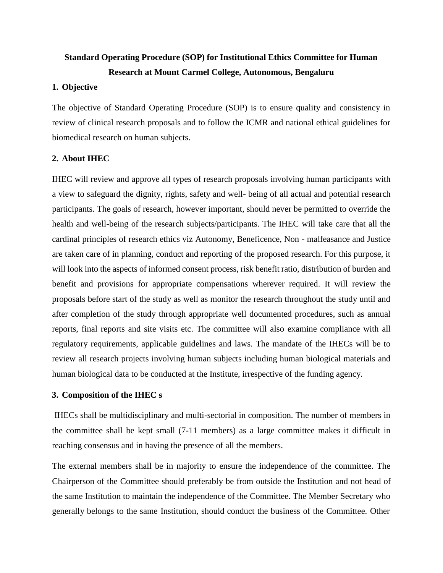# **Standard Operating Procedure (SOP) for Institutional Ethics Committee for Human Research at Mount Carmel College, Autonomous, Bengaluru**

#### **1. Objective**

The objective of Standard Operating Procedure (SOP) is to ensure quality and consistency in review of clinical research proposals and to follow the ICMR and national ethical guidelines for biomedical research on human subjects.

### **2. About IHEC**

IHEC will review and approve all types of research proposals involving human participants with a view to safeguard the dignity, rights, safety and well- being of all actual and potential research participants. The goals of research, however important, should never be permitted to override the health and well-being of the research subjects/participants. The IHEC will take care that all the cardinal principles of research ethics viz Autonomy, Beneficence, Non - malfeasance and Justice are taken care of in planning, conduct and reporting of the proposed research. For this purpose, it will look into the aspects of informed consent process, risk benefit ratio, distribution of burden and benefit and provisions for appropriate compensations wherever required. It will review the proposals before start of the study as well as monitor the research throughout the study until and after completion of the study through appropriate well documented procedures, such as annual reports, final reports and site visits etc. The committee will also examine compliance with all regulatory requirements, applicable guidelines and laws. The mandate of the IHECs will be to review all research projects involving human subjects including human biological materials and human biological data to be conducted at the Institute, irrespective of the funding agency.

### **3. Composition of the IHEC s**

IHECs shall be multidisciplinary and multi-sectorial in composition. The number of members in the committee shall be kept small (7-11 members) as a large committee makes it difficult in reaching consensus and in having the presence of all the members.

The external members shall be in majority to ensure the independence of the committee. The Chairperson of the Committee should preferably be from outside the Institution and not head of the same Institution to maintain the independence of the Committee. The Member Secretary who generally belongs to the same Institution, should conduct the business of the Committee. Other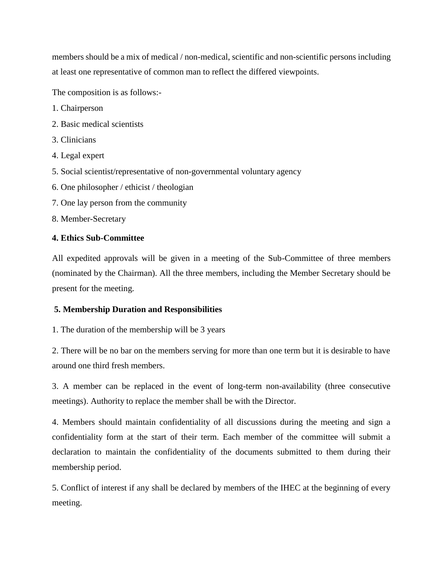members should be a mix of medical / non-medical, scientific and non-scientific persons including at least one representative of common man to reflect the differed viewpoints.

The composition is as follows:-

- 1. Chairperson
- 2. Basic medical scientists
- 3. Clinicians
- 4. Legal expert
- 5. Social scientist/representative of non-governmental voluntary agency
- 6. One philosopher / ethicist / theologian
- 7. One lay person from the community
- 8. Member-Secretary

### **4. Ethics Sub-Committee**

All expedited approvals will be given in a meeting of the Sub-Committee of three members (nominated by the Chairman). All the three members, including the Member Secretary should be present for the meeting.

### **5. Membership Duration and Responsibilities**

1. The duration of the membership will be 3 years

2. There will be no bar on the members serving for more than one term but it is desirable to have around one third fresh members.

3. A member can be replaced in the event of long-term non-availability (three consecutive meetings). Authority to replace the member shall be with the Director.

4. Members should maintain confidentiality of all discussions during the meeting and sign a confidentiality form at the start of their term. Each member of the committee will submit a declaration to maintain the confidentiality of the documents submitted to them during their membership period.

5. Conflict of interest if any shall be declared by members of the IHEC at the beginning of every meeting.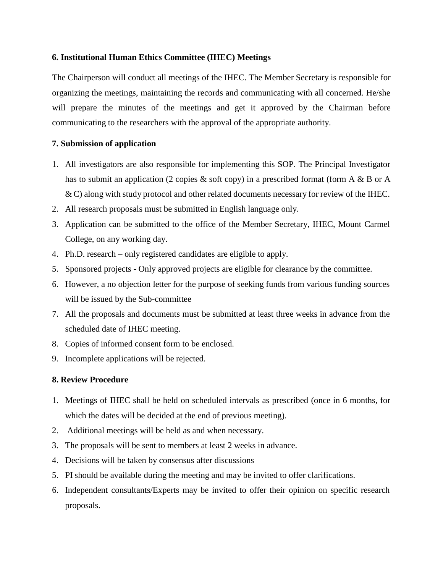### **6. Institutional Human Ethics Committee (IHEC) Meetings**

The Chairperson will conduct all meetings of the IHEC. The Member Secretary is responsible for organizing the meetings, maintaining the records and communicating with all concerned. He/she will prepare the minutes of the meetings and get it approved by the Chairman before communicating to the researchers with the approval of the appropriate authority.

# **7. Submission of application**

- 1. All investigators are also responsible for implementing this SOP. The Principal Investigator has to submit an application (2 copies & soft copy) in a prescribed format (form A & B or A & C) along with study protocol and other related documents necessary for review of the IHEC.
- 2. All research proposals must be submitted in English language only.
- 3. Application can be submitted to the office of the Member Secretary, IHEC, Mount Carmel College, on any working day.
- 4. Ph.D. research only registered candidates are eligible to apply.
- 5. Sponsored projects Only approved projects are eligible for clearance by the committee.
- 6. However, a no objection letter for the purpose of seeking funds from various funding sources will be issued by the Sub-committee
- 7. All the proposals and documents must be submitted at least three weeks in advance from the scheduled date of IHEC meeting.
- 8. Copies of informed consent form to be enclosed.
- 9. Incomplete applications will be rejected.

# **8. Review Procedure**

- 1. Meetings of IHEC shall be held on scheduled intervals as prescribed (once in 6 months, for which the dates will be decided at the end of previous meeting).
- 2. Additional meetings will be held as and when necessary.
- 3. The proposals will be sent to members at least 2 weeks in advance.
- 4. Decisions will be taken by consensus after discussions
- 5. PI should be available during the meeting and may be invited to offer clarifications.
- 6. Independent consultants/Experts may be invited to offer their opinion on specific research proposals.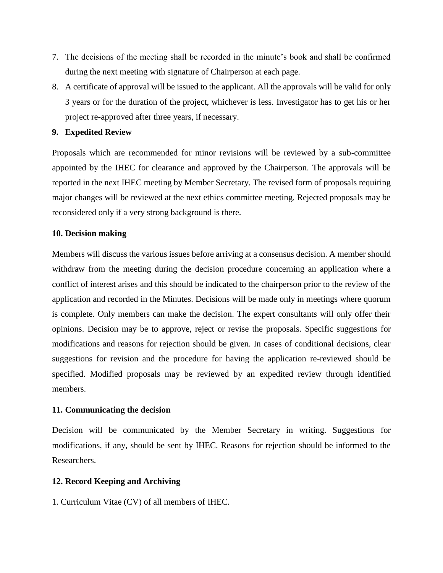- 7. The decisions of the meeting shall be recorded in the minute's book and shall be confirmed during the next meeting with signature of Chairperson at each page.
- 8. A certificate of approval will be issued to the applicant. All the approvals will be valid for only 3 years or for the duration of the project, whichever is less. Investigator has to get his or her project re-approved after three years, if necessary.

### **9. Expedited Review**

Proposals which are recommended for minor revisions will be reviewed by a sub-committee appointed by the IHEC for clearance and approved by the Chairperson. The approvals will be reported in the next IHEC meeting by Member Secretary. The revised form of proposals requiring major changes will be reviewed at the next ethics committee meeting. Rejected proposals may be reconsidered only if a very strong background is there.

### **10. Decision making**

Members will discuss the various issues before arriving at a consensus decision. A member should withdraw from the meeting during the decision procedure concerning an application where a conflict of interest arises and this should be indicated to the chairperson prior to the review of the application and recorded in the Minutes. Decisions will be made only in meetings where quorum is complete. Only members can make the decision. The expert consultants will only offer their opinions. Decision may be to approve, reject or revise the proposals. Specific suggestions for modifications and reasons for rejection should be given. In cases of conditional decisions, clear suggestions for revision and the procedure for having the application re-reviewed should be specified. Modified proposals may be reviewed by an expedited review through identified members.

# **11. Communicating the decision**

Decision will be communicated by the Member Secretary in writing. Suggestions for modifications, if any, should be sent by IHEC. Reasons for rejection should be informed to the Researchers.

# **12. Record Keeping and Archiving**

1. Curriculum Vitae (CV) of all members of IHEC.